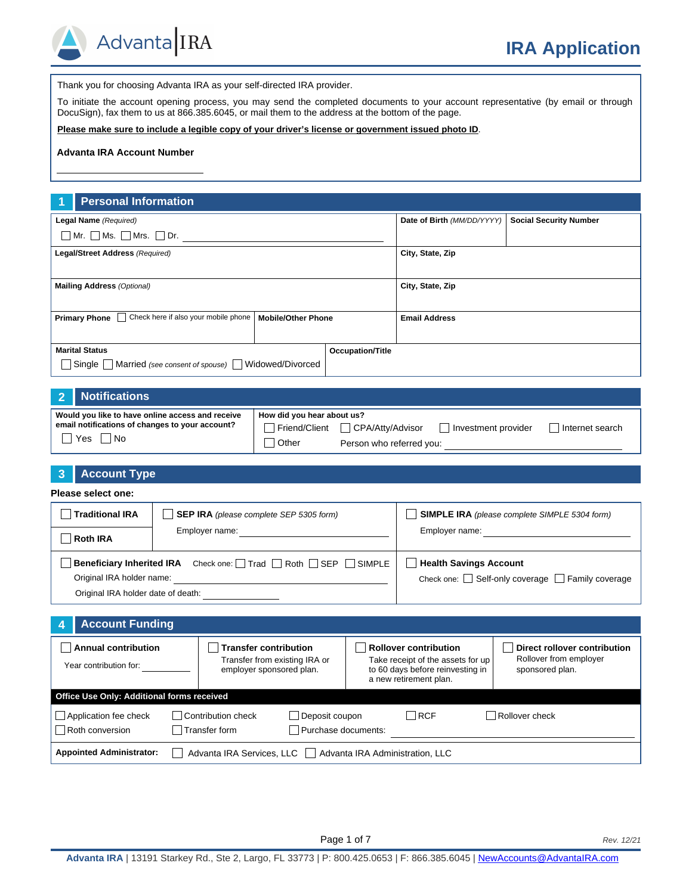

Thank you for choosing Advanta IRA as your self-directed IRA provider.

To initiate the account opening process, you may send the completed documents to your account representative (by email or through DocuSign), fax them to us at 866.385.6045, or mail them to the address at the bottom of the page.

**Please make sure to include a legible copy of your driver's license or government issued photo ID**.

#### **Advanta IRA Account Number**

#### **1 Personal Information**

| Legal Name (Required)                                        |                           | Date of Birth (MM/DD/YYYY) | <b>Social Security Number</b> |  |
|--------------------------------------------------------------|---------------------------|----------------------------|-------------------------------|--|
| $\Box$ Mr. $\Box$ Ms. $\Box$ Mrs. $\Box$ Dr.                 |                           |                            |                               |  |
| Legal/Street Address (Required)                              |                           |                            | City, State, Zip              |  |
|                                                              |                           |                            |                               |  |
| <b>Mailing Address (Optional)</b>                            |                           |                            | City, State, Zip              |  |
|                                                              |                           |                            |                               |  |
| <b>Primary Phone Check here if also your mobile phone</b>    | <b>Mobile/Other Phone</b> |                            | <b>Email Address</b>          |  |
|                                                              |                           |                            |                               |  |
| <b>Marital Status</b>                                        |                           | <b>Occupation/Title</b>    |                               |  |
| Married (see consent of spouse) Widowed/Divorced<br>  Single |                           |                            |                               |  |

#### **2 Notifications**

| Would you like to have online access and receive | How did you hear about us? |                                  |                     |                 |
|--------------------------------------------------|----------------------------|----------------------------------|---------------------|-----------------|
| email notifications of changes to your account?  |                            | Friend/Client   CPA/Atty/Advisor | Investment provider | Internet search |
| Yes<br>l No                                      | Other                      | Person who referred you:         |                     |                 |

# **3 Account Type Please select one:**

| <b>Traditional IRA</b>                                    | <b>SEP IRA</b> (please complete SEP 5305 form) | <b>SIMPLE IRA</b> (please complete SIMPLE 5304 form)        |
|-----------------------------------------------------------|------------------------------------------------|-------------------------------------------------------------|
| <b>Roth IRA</b>                                           | Employer name:                                 | Employer name:                                              |
| Beneficiary Inherited IRA Check one: Trad Roth SEP SIMPLE |                                                | <b>Health Savings Account</b>                               |
| Original IRA holder name:                                 |                                                | Check one: $\Box$ Self-only coverage $\Box$ Family coverage |
| Original IRA holder date of death:                        |                                                |                                                             |

| <b>Account Funding</b>                               |                                                                                           |                                                                                                                                 |                                                                                  |
|------------------------------------------------------|-------------------------------------------------------------------------------------------|---------------------------------------------------------------------------------------------------------------------------------|----------------------------------------------------------------------------------|
| <b>Annual contribution</b><br>Year contribution for: | <b>Transfer contribution</b><br>Transfer from existing IRA or<br>employer sponsored plan. | <b>Rollover contribution</b><br>Take receipt of the assets for up<br>to 60 days before reinvesting in<br>a new retirement plan. | <b>Direct rollover contribution</b><br>Rollover from employer<br>sponsored plan. |
| Office Use Only: Additional forms received           |                                                                                           |                                                                                                                                 |                                                                                  |
| Application fee check<br>Roth conversion             | Contribution check<br>Deposit coupon<br>Transfer form<br>Purchase documents:              | $\Box$ RCF                                                                                                                      | Rollover check                                                                   |
| <b>Appointed Administrator:</b>                      | Advanta IRA Services, LLC     Advanta IRA Administration, LLC                             |                                                                                                                                 |                                                                                  |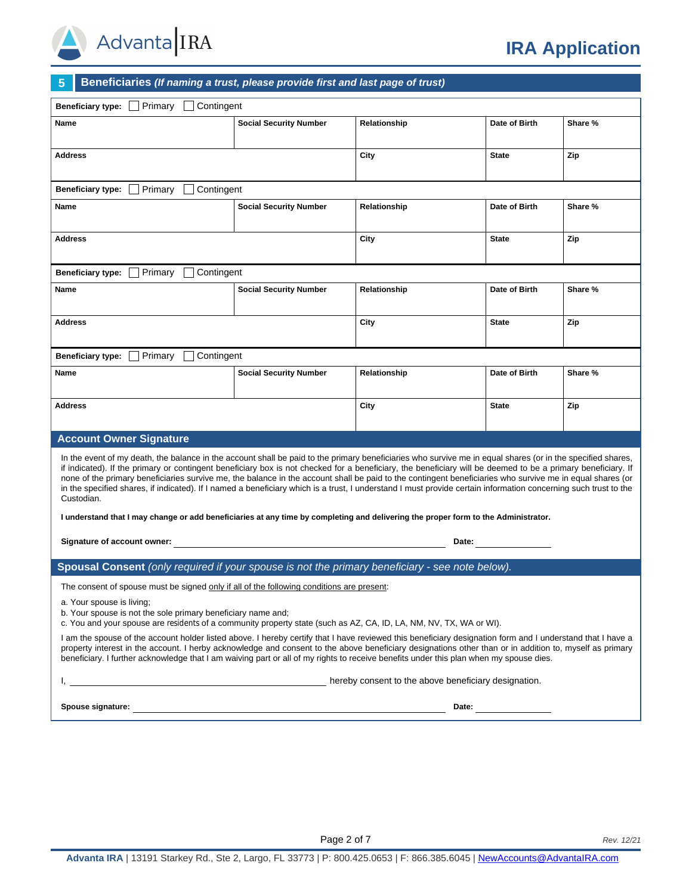

# **5 Beneficiaries** *(If naming a trust, please provide first and last page of trust)*

| <b>Beneficiary type:</b><br>Primary<br>Contingent                                                                                                                                                                                                                                                                                                                                                                                                                                                                                                                                                                                                                         |                               |              |               |         |
|---------------------------------------------------------------------------------------------------------------------------------------------------------------------------------------------------------------------------------------------------------------------------------------------------------------------------------------------------------------------------------------------------------------------------------------------------------------------------------------------------------------------------------------------------------------------------------------------------------------------------------------------------------------------------|-------------------------------|--------------|---------------|---------|
| <b>Name</b>                                                                                                                                                                                                                                                                                                                                                                                                                                                                                                                                                                                                                                                               | <b>Social Security Number</b> | Relationship | Date of Birth | Share % |
| Address                                                                                                                                                                                                                                                                                                                                                                                                                                                                                                                                                                                                                                                                   |                               | City         | <b>State</b>  | Zip     |
| Primary<br>Contingent<br><b>Beneficiary type:</b>                                                                                                                                                                                                                                                                                                                                                                                                                                                                                                                                                                                                                         |                               |              |               |         |
| Name                                                                                                                                                                                                                                                                                                                                                                                                                                                                                                                                                                                                                                                                      | <b>Social Security Number</b> | Relationship | Date of Birth | Share % |
| <b>Address</b>                                                                                                                                                                                                                                                                                                                                                                                                                                                                                                                                                                                                                                                            |                               | City         | <b>State</b>  | Zip     |
| Contingent<br><b>Beneficiary type:</b><br>Primary                                                                                                                                                                                                                                                                                                                                                                                                                                                                                                                                                                                                                         |                               |              |               |         |
| Name                                                                                                                                                                                                                                                                                                                                                                                                                                                                                                                                                                                                                                                                      | <b>Social Security Number</b> | Relationship | Date of Birth | Share % |
| <b>Address</b>                                                                                                                                                                                                                                                                                                                                                                                                                                                                                                                                                                                                                                                            |                               | City         | <b>State</b>  | Zip     |
| Contingent<br><b>Beneficiary type:</b><br>Primary                                                                                                                                                                                                                                                                                                                                                                                                                                                                                                                                                                                                                         |                               |              |               |         |
| Name                                                                                                                                                                                                                                                                                                                                                                                                                                                                                                                                                                                                                                                                      | <b>Social Security Number</b> | Relationship | Date of Birth | Share % |
| Address                                                                                                                                                                                                                                                                                                                                                                                                                                                                                                                                                                                                                                                                   |                               | City         | <b>State</b>  | Zip     |
| <b>Account Owner Signature</b>                                                                                                                                                                                                                                                                                                                                                                                                                                                                                                                                                                                                                                            |                               |              |               |         |
| In the event of my death, the balance in the account shall be paid to the primary beneficiaries who survive me in equal shares (or in the specified shares,<br>if indicated). If the primary or contingent beneficiary box is not checked for a beneficiary, the beneficiary will be deemed to be a primary beneficiary. If<br>none of the primary beneficiaries survive me, the balance in the account shall be paid to the contingent beneficiaries who survive me in equal shares (or<br>in the specified shares, if indicated). If I named a beneficiary which is a trust, I understand I must provide certain information concerning such trust to the<br>Custodian. |                               |              |               |         |
| I understand that I may change or add beneficiaries at any time by completing and delivering the proper form to the Administrator.                                                                                                                                                                                                                                                                                                                                                                                                                                                                                                                                        |                               |              |               |         |
| Signature of account owner:                                                                                                                                                                                                                                                                                                                                                                                                                                                                                                                                                                                                                                               |                               | Date:        |               |         |
| Spousal Consent (only required if your spouse is not the primary beneficiary - see note below).                                                                                                                                                                                                                                                                                                                                                                                                                                                                                                                                                                           |                               |              |               |         |
| The consent of spouse must be signed only if all of the following conditions are present:                                                                                                                                                                                                                                                                                                                                                                                                                                                                                                                                                                                 |                               |              |               |         |
| a. Your spouse is living;<br>b. Your spouse is not the sole primary beneficiary name and;<br>c. You and your spouse are residents of a community property state (such as AZ, CA, ID, LA, NM, NV, TX, WA or WI).                                                                                                                                                                                                                                                                                                                                                                                                                                                           |                               |              |               |         |
| I am the spouse of the account holder listed above. I hereby certify that I have reviewed this beneficiary designation form and I understand that I have a<br>property interest in the account. I herby acknowledge and consent to the above beneficiary designations other than or in addition to, myself as primary<br>beneficiary. I further acknowledge that I am waiving part or all of my rights to receive benefits under this plan when my spouse dies.                                                                                                                                                                                                           |                               |              |               |         |
| hereby consent to the above beneficiary designation.                                                                                                                                                                                                                                                                                                                                                                                                                                                                                                                                                                                                                      |                               |              |               |         |
| Spouse signature: <u>contract the contract of the contract of the contract of the contract of the contract of the contract of the contract of the contract of the contract of the contract of the contract of the contract of th</u><br>Date: $\qquad \qquad$                                                                                                                                                                                                                                                                                                                                                                                                             |                               |              |               |         |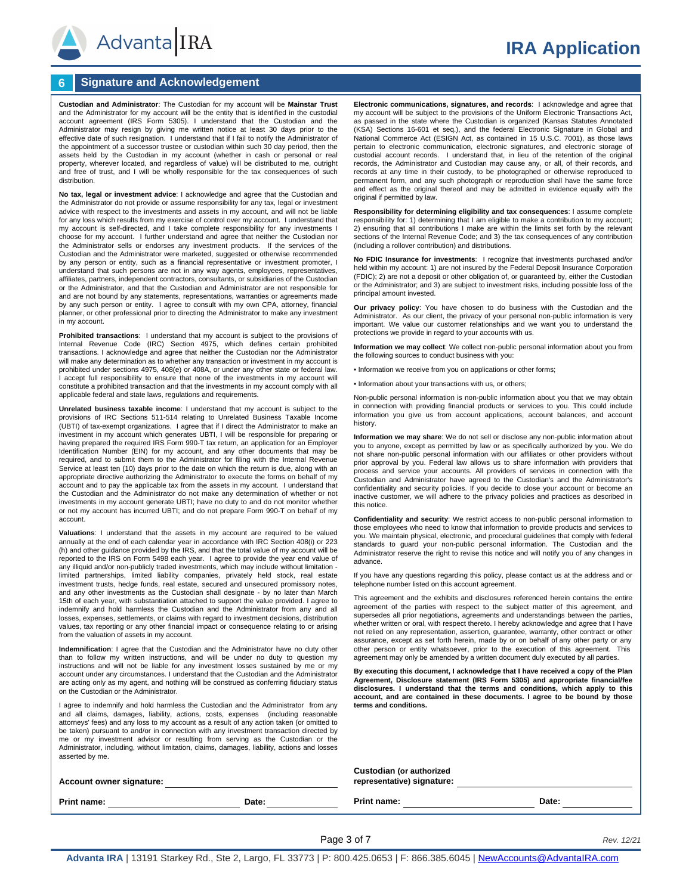

## **6 Signature and Acknowledgement**

**Custodian and Administrator**: The Custodian for my account will be **Mainstar Trust** and the Administrator for my account will be the entity that is identified in the custodial account agreement (IRS Form 5305). I understand that the Custodian and the Administrator may resign by giving me written notice at least 30 days prior to the effective date of such resignation. I understand that if I fail to notify the Administrator of the appointment of a successor trustee or custodian within such 30 day period, then the assets held by the Custodian in my account (whether in cash or personal or real property, wherever located, and regardless of value) will be distributed to me, outright and free of trust, and I will be wholly responsible for the tax consequences of such distribution.

**No tax, legal or investment advice**: I acknowledge and agree that the Custodian and the Administrator do not provide or assume responsibility for any tax, legal or investment advice with respect to the investments and assets in my account, and will not be liable for any loss which results from my exercise of control over my account. I understand that my account is self-directed, and I take complete responsibility for any investments I choose for my account. I further understand and agree that neither the Custodian nor the Administrator sells or endorses any investment products. If the services of the Custodian and the Administrator were marketed, suggested or otherwise recommended by any person or entity, such as a financial representative or investment promoter, I understand that such persons are not in any way agents, employees, representatives, affiliates, partners, independent contractors, consultants, or subsidiaries of the Custodian or the Administrator, and that the Custodian and Administrator are not responsible for and are not bound by any statements, representations, warranties or agreements made by any such person or entity. I agree to consult with my own CPA, attorney, financial planner, or other professional prior to directing the Administrator to make any investment in my account.

**Prohibited transactions**: I understand that my account is subject to the provisions of Internal Revenue Code (IRC) Section 4975, which defines certain prohibited transactions. I acknowledge and agree that neither the Custodian nor the Administrator will make any determination as to whether any transaction or investment in my account is prohibited under sections 4975, 408(e) or 408A, or under any other state or federal law. I accept full responsibility to ensure that none of the investments in my account will constitute a prohibited transaction and that the investments in my account comply with all applicable federal and state laws, regulations and requirements.

**Unrelated business taxable income**: I understand that my account is subject to the provisions of IRC Sections 511-514 relating to Unrelated Business Taxable Income (UBTI) of tax-exempt organizations. I agree that if I direct the Administrator to make an investment in my account which generates UBTI, I will be responsible for preparing or having prepared the required IRS Form 990-T tax return, an application for an Employer Identification Number (EIN) for my account, and any other documents that may be required, and to submit them to the Administrator for filing with the Internal Revenue Service at least ten (10) days prior to the date on which the return is due, along with an appropriate directive authorizing the Administrator to execute the forms on behalf of my account and to pay the applicable tax from the assets in my account. I understand that the Custodian and the Administrator do not make any determination of whether or not investments in my account generate UBTI; have no duty to and do not monitor whether or not my account has incurred UBTI; and do not prepare Form 990-T on behalf of my account.

**Valuations**: I understand that the assets in my account are required to be valued annually at the end of each calendar year in accordance with IRC Section 408(i) or 223 (h) and other guidance provided by the IRS, and that the total value of my account will be reported to the IRS on Form 5498 each year. I agree to provide the year end value of any illiquid and/or non-publicly traded investments, which may include without limitation - limited partnerships, limited liability companies, privately held stock, real estate investment trusts, hedge funds, real estate, secured and unsecured promissory notes, and any other investments as the Custodian shall designate - by no later than March 15th of each year, with substantiation attached to support the value provided. I agree to indemnify and hold harmless the Custodian and the Administrator from any and all losses, expenses, settlements, or claims with regard to investment decisions, distribution values, tax reporting or any other financial impact or consequence relating to or arising from the valuation of assets in my account.

**Indemnification**: I agree that the Custodian and the Administrator have no duty other than to follow my written instructions, and will be under no duty to question my instructions and will not be liable for any investment losses sustained by me or my account under any circumstances. I understand that the Custodian and the Administrator are acting only as my agent, and nothing will be construed as conferring fiduciary status on the Custodian or the Administrator.

I agree to indemnify and hold harmless the Custodian and the Administrator from any and all claims, damages, liability, actions, costs, expenses (including reasonable attorneys' fees) and any loss to my account as a result of any action taken (or omitted to be taken) pursuant to and/or in connection with any investment transaction directed by me or my investment advisor or resulting from serving as the Custodian or the Administrator, including, without limitation, claims, damages, liability, actions and losses asserted by me.

**Electronic communications, signatures, and records**: I acknowledge and agree that my account will be subject to the provisions of the Uniform Electronic Transactions Act, as passed in the state where the Custodian is organized (Kansas Statutes Annotated (KSA) Sections 16-601 et seq.), and the federal Electronic Signature in Global and National Commerce Act (ESIGN Act, as contained in 15 U.S.C. 7001), as those laws pertain to electronic communication, electronic signatures, and electronic storage of custodial account records. I understand that, in lieu of the retention of the original records, the Administrator and Custodian may cause any, or all, of their records, and records at any time in their custody, to be photographed or otherwise reproduced to permanent form, and any such photograph or reproduction shall have the same force and effect as the original thereof and may be admitted in evidence equally with the original if permitted by law.

**Responsibility for determining eligibility and tax consequences**: I assume complete responsibility for: 1) determining that I am eligible to make a contribution to my account; 2) ensuring that all contributions I make are within the limits set forth by the relevant sections of the Internal Revenue Code; and 3) the tax consequences of any contribution (including a rollover contribution) and distributions.

**No FDIC Insurance for investments**: I recognize that investments purchased and/or held within my account: 1) are not insured by the Federal Deposit Insurance Corporation (FDIC); 2) are not a deposit or other obligation of, or guaranteed by, either the Custodian or the Administrator; and 3) are subject to investment risks, including possible loss of the principal amount invested.

**Our privacy policy**: You have chosen to do business with the Custodian and the Administrator. As our client, the privacy of your personal non-public information is very important. We value our customer relationships and we want you to understand the protections we provide in regard to your accounts with us.

**Information we may collect**: We collect non-public personal information about you from the following sources to conduct business with you:

• Information we receive from you on applications or other forms;

• Information about your transactions with us, or others;

Non-public personal information is non-public information about you that we may obtain in connection with providing financial products or services to you. This could include information you give us from account applications, account balances, and account history.

**Information we may share**: We do not sell or disclose any non-public information about you to anyone, except as permitted by law or as specifically authorized by you. We do not share non-public personal information with our affiliates or other providers without prior approval by you. Federal law allows us to share information with providers that process and service your accounts. All providers of services in connection with the Custodian and Administrator have agreed to the Custodian's and the Administrator's confidentiality and security policies. If you decide to close your account or become an inactive customer, we will adhere to the privacy policies and practices as described in this notice.

**Confidentiality and security**: We restrict access to non-public personal information to those employees who need to know that information to provide products and services to you. We maintain physical, electronic, and procedural guidelines that comply with federal standards to guard your non-public personal information. The Custodian and the Administrator reserve the right to revise this notice and will notify you of any changes in advance.

If you have any questions regarding this policy, please contact us at the address and or telephone number listed on this account agreement.

This agreement and the exhibits and disclosures referenced herein contains the entire agreement of the parties with respect to the subject matter of this agreement, and supersedes all prior negotiations, agreements and understandings between the parties, whether written or oral, with respect thereto. I hereby acknowledge and agree that I have not relied on any representation, assertion, guarantee, warranty, other contract or other assurance, except as set forth herein, made by or on behalf of any other party or any other person or entity whatsoever, prior to the execution of this agreement. This agreement may only be amended by a written document duly executed by all parties.

**By executing this document, I acknowledge that I have received a copy of the Plan Agreement, Disclosure statement (IRS Form 5305) and appropriate financial/fee disclosures. I understand that the terms and conditions, which apply to this account, and are contained in these documents. I agree to be bound by those terms and conditions.** 

| Account owner signature: |       | Custodian (or authorized<br>representative) signature: |       |  |
|--------------------------|-------|--------------------------------------------------------|-------|--|
| Print name:              | Date: | <b>Print name:</b>                                     | Date: |  |

**Page 3 of 7** *Rev. 12/21* 

# **IRA Application**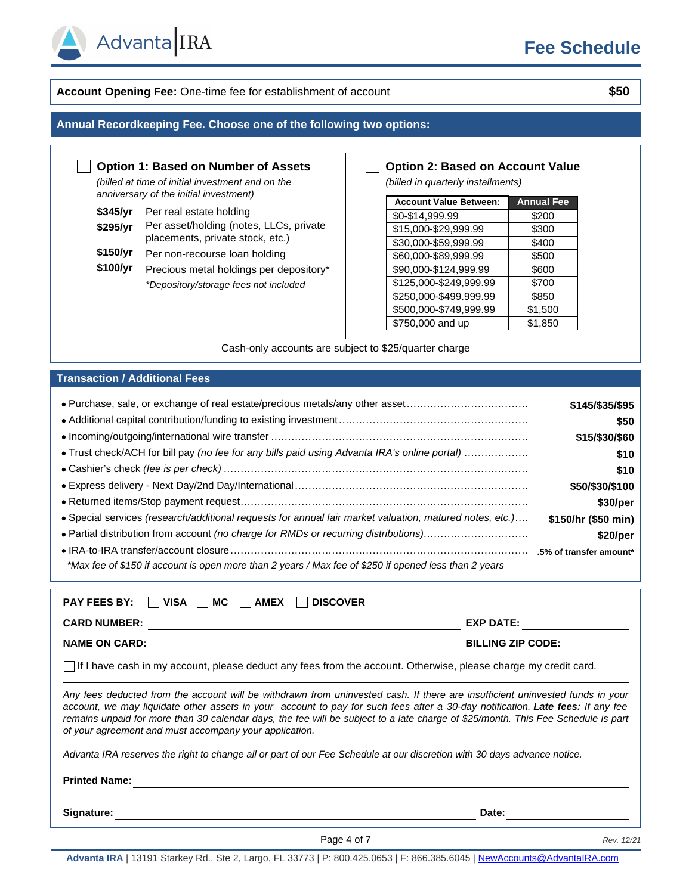

## **Account Opening Fee:** One-time fee for establishment of account **\$50**

#### **Annual Recordkeeping Fee. Choose one of the following two options:**

### **Option 1: Based on Number of Assets**

*(billed at time of initial investment and on the anniversary of the initial investment)*

| \$345/yr | Per real estate holding |
|----------|-------------------------|
|          | — <i>п</i> ити <i>и</i> |

Advanta IRA

- \$295/yr Per asset/holding (notes, LLCs, private placements, private stock, etc.)
- **\$150/yr** Per non-recourse loan holding
- \$100/yr Precious metal holdings per depository\* *\*Depository/storage fees not included*

#### **Option 2: Based on Account Value**

*(billed in quarterly installments)*

| <b>Account Value Between:</b> | <b>Annual Fee</b> |
|-------------------------------|-------------------|
| \$0-\$14,999.99               | \$200             |
| \$15,000-\$29,999.99          | \$300             |
| \$30,000-\$59,999.99          | \$400             |
| \$60,000-\$89,999.99          | \$500             |
| \$90,000-\$124,999.99         | \$600             |
| \$125,000-\$249,999.99        | \$700             |
| \$250,000-\$499.999.99        | \$850             |
| \$500,000-\$749,999.99        | \$1,500           |
| \$750,000 and up              | \$1,850           |

Cash-only accounts are subject to \$25/quarter charge

#### **Transaction / Additional Fees**

| • Purchase, sale, or exchange of real estate/precious metals/any other asset                            | \$145/\$35/\$95     |
|---------------------------------------------------------------------------------------------------------|---------------------|
|                                                                                                         | \$50                |
|                                                                                                         | \$15/\$30/\$60      |
| • Trust check/ACH for bill pay (no fee for any bills paid using Advanta IRA's online portal)            | \$10                |
|                                                                                                         | \$10                |
|                                                                                                         | \$50/\$30/\$100     |
|                                                                                                         | \$30/per            |
| • Special services (research/additional requests for annual fair market valuation, matured notes, etc.) | \$150/hr (\$50 min) |
| • Partial distribution from account (no charge for RMDs or recurring distributions)                     | \$20/per            |
|                                                                                                         |                     |
| *Max fee of \$150 if account is open more than 2 years / Max fee of \$250 if opened less than 2 years   |                     |

| <b>PAY FEES BY:</b><br><b>DISCOVER</b><br><b>VISA</b><br>МC<br><b>AMEX</b>                                                                                                                                                                                                                                                                                                                                                                                    |                          |  |  |  |
|---------------------------------------------------------------------------------------------------------------------------------------------------------------------------------------------------------------------------------------------------------------------------------------------------------------------------------------------------------------------------------------------------------------------------------------------------------------|--------------------------|--|--|--|
| <b>CARD NUMBER:</b>                                                                                                                                                                                                                                                                                                                                                                                                                                           | <b>EXP DATE:</b>         |  |  |  |
| <b>NAME ON CARD:</b>                                                                                                                                                                                                                                                                                                                                                                                                                                          | <b>BILLING ZIP CODE:</b> |  |  |  |
| $\vert \ \vert$ If I have cash in my account, please deduct any fees from the account. Otherwise, please charge my credit card.                                                                                                                                                                                                                                                                                                                               |                          |  |  |  |
| Any fees deducted from the account will be withdrawn from uninvested cash. If there are insufficient uninvested funds in your<br>account, we may liquidate other assets in your account to pay for such fees after a 30-day notification. Late fees: If any fee<br>remains unpaid for more than 30 calendar days, the fee will be subject to a late charge of \$25/month. This Fee Schedule is part<br>of your agreement and must accompany your application. |                          |  |  |  |
| Advanta IRA reserves the right to change all or part of our Fee Schedule at our discretion with 30 days advance notice.                                                                                                                                                                                                                                                                                                                                       |                          |  |  |  |
| <b>Printed Name:</b>                                                                                                                                                                                                                                                                                                                                                                                                                                          |                          |  |  |  |
| Signature:                                                                                                                                                                                                                                                                                                                                                                                                                                                    | Date:                    |  |  |  |

**Page 4 of 7** *Rev. 12/21* 

**Advanta IRA** | 13191 Starkey Rd., Ste 2, Largo, FL 33773 | P: 800.425.0653 | F: 866.385.6045 | [NewAccounts@AdvantaIRA.com](mailto:NewAccounts@AdvantaIRA.com)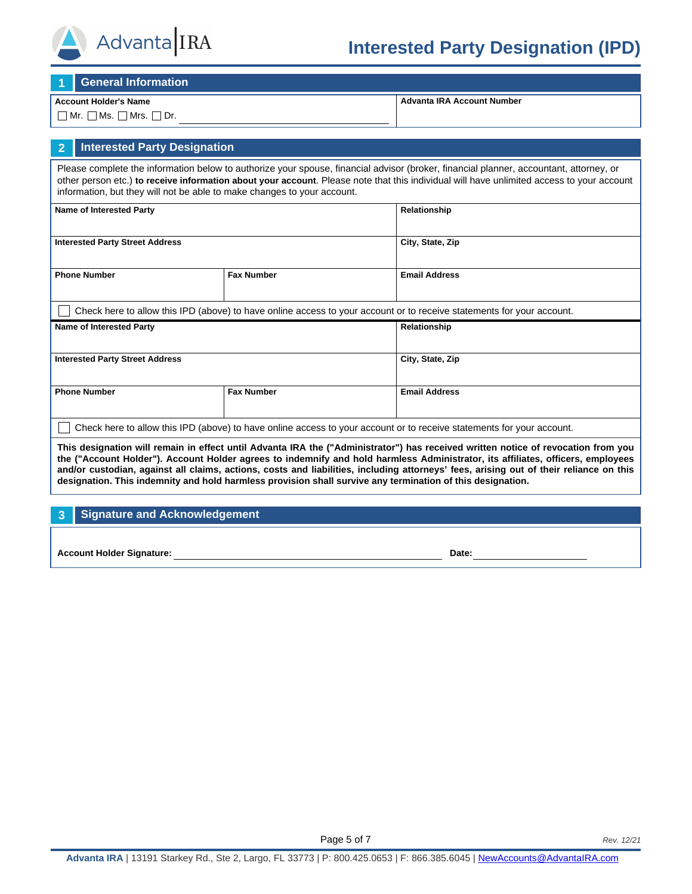

# **Interested Party Designation (IPD)**

**1 General Information**

#### **Account Holder's Name**

 $\Box$  Mr.  $\Box$  Ms.  $\Box$  Mrs.  $\Box$  Dr.

**Advanta IRA Account Number**

## **2 Interested Party Designation**

Please complete the information below to authorize your spouse, financial advisor (broker, financial planner, accountant, attorney, or other person etc.) **to receive information about your account**. Please note that this individual will have unlimited access to your account information, but they will not be able to make changes to your account.

| Name of Interested Party                 |                   | Relationship                                                                                                          |  |
|------------------------------------------|-------------------|-----------------------------------------------------------------------------------------------------------------------|--|
| <b>Interested Party Street Address</b>   |                   | City, State, Zip                                                                                                      |  |
| <b>Phone Number</b><br><b>Fax Number</b> |                   | <b>Email Address</b>                                                                                                  |  |
|                                          |                   | Check here to allow this IPD (above) to have online access to your account or to receive statements for your account. |  |
| <b>Name of Interested Party</b>          |                   | Relationship                                                                                                          |  |
|                                          |                   |                                                                                                                       |  |
| <b>Interested Party Street Address</b>   |                   | City, State, Zip                                                                                                      |  |
| <b>Phone Number</b>                      | <b>Fax Number</b> | <b>Email Address</b>                                                                                                  |  |

**This designation will remain in effect until Advanta IRA the ("Administrator") has received written notice of revocation from you the ("Account Holder"). Account Holder agrees to indemnify and hold harmless Administrator, its affiliates, officers, employees and/or custodian, against all claims, actions, costs and liabilities, including attorneys' fees, arising out of their reliance on this designation. This indemnity and hold harmless provision shall survive any termination of this designation.**

#### **3 Signature and Acknowledgement**

**Account Holder Signature: Date:**

**Page 5 of 7** *Rev. 12/21*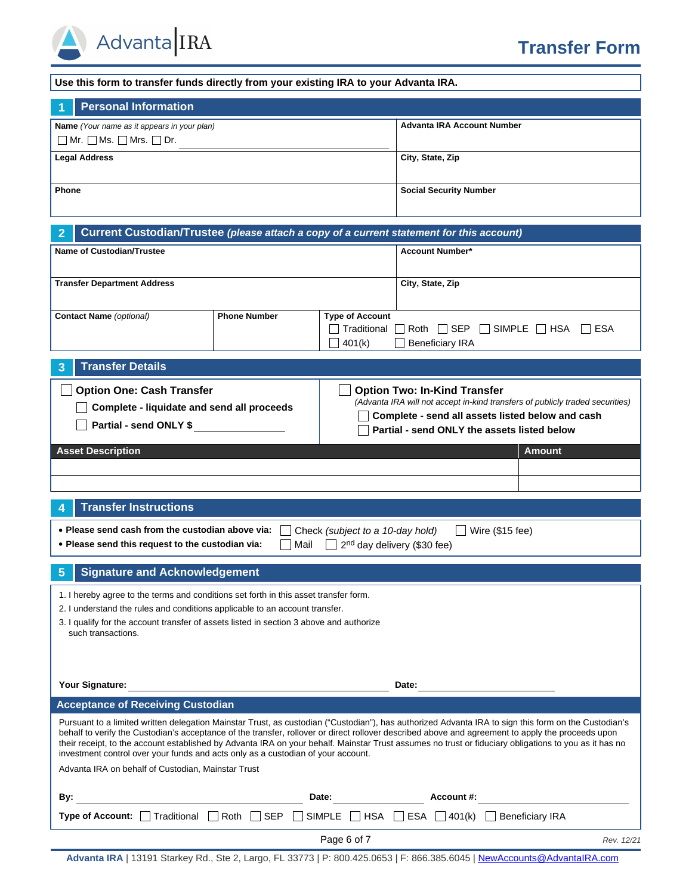

| Use this form to transfer funds directly from your existing IRA to your Advanta IRA.                                                                                                                                                                                                                                                                                                                                                                                                                                                                                                                         |                     |                                                 |                                           |                                 |
|--------------------------------------------------------------------------------------------------------------------------------------------------------------------------------------------------------------------------------------------------------------------------------------------------------------------------------------------------------------------------------------------------------------------------------------------------------------------------------------------------------------------------------------------------------------------------------------------------------------|---------------------|-------------------------------------------------|-------------------------------------------|---------------------------------|
| <b>Personal Information</b>                                                                                                                                                                                                                                                                                                                                                                                                                                                                                                                                                                                  |                     |                                                 |                                           |                                 |
| Name (Your name as it appears in your plan)<br>$\Box$ Mr. $\Box$ Ms. $\Box$ Mrs. $\Box$ Dr.                                                                                                                                                                                                                                                                                                                                                                                                                                                                                                                  |                     |                                                 | <b>Advanta IRA Account Number</b>         |                                 |
| <b>Legal Address</b>                                                                                                                                                                                                                                                                                                                                                                                                                                                                                                                                                                                         |                     |                                                 | City, State, Zip                          |                                 |
| Phone                                                                                                                                                                                                                                                                                                                                                                                                                                                                                                                                                                                                        |                     |                                                 | <b>Social Security Number</b>             |                                 |
| Current Custodian/Trustee (please attach a copy of a current statement for this account)<br>2                                                                                                                                                                                                                                                                                                                                                                                                                                                                                                                |                     |                                                 |                                           |                                 |
| <b>Name of Custodian/Trustee</b>                                                                                                                                                                                                                                                                                                                                                                                                                                                                                                                                                                             |                     |                                                 | <b>Account Number*</b>                    |                                 |
|                                                                                                                                                                                                                                                                                                                                                                                                                                                                                                                                                                                                              |                     |                                                 |                                           |                                 |
| <b>Transfer Department Address</b>                                                                                                                                                                                                                                                                                                                                                                                                                                                                                                                                                                           |                     |                                                 | City, State, Zip                          |                                 |
| <b>Contact Name</b> (optional)                                                                                                                                                                                                                                                                                                                                                                                                                                                                                                                                                                               | <b>Phone Number</b> | <b>Type of Account</b><br>Traditional<br>401(k) | Roth $\Box$ SEP<br><b>Beneficiary IRA</b> | $\Box$ SIMPLE $\Box$ HSA<br>ESA |
| <b>Transfer Details</b><br>3                                                                                                                                                                                                                                                                                                                                                                                                                                                                                                                                                                                 |                     |                                                 |                                           |                                 |
| <b>Option One: Cash Transfer</b><br><b>Option Two: In-Kind Transfer</b><br>(Advanta IRA will not accept in-kind transfers of publicly traded securities)<br>Complete - liquidate and send all proceeds<br>Complete - send all assets listed below and cash<br>Partial - send ONLY \$<br>Partial - send ONLY the assets listed below                                                                                                                                                                                                                                                                          |                     |                                                 |                                           |                                 |
| <b>Asset Description</b>                                                                                                                                                                                                                                                                                                                                                                                                                                                                                                                                                                                     |                     |                                                 |                                           | <b>Amount</b>                   |
|                                                                                                                                                                                                                                                                                                                                                                                                                                                                                                                                                                                                              |                     |                                                 |                                           |                                 |
|                                                                                                                                                                                                                                                                                                                                                                                                                                                                                                                                                                                                              |                     |                                                 |                                           |                                 |
| <b>Transfer Instructions</b><br>4                                                                                                                                                                                                                                                                                                                                                                                                                                                                                                                                                                            |                     |                                                 |                                           |                                 |
| • Please send cash from the custodian above via:<br>. Please send this request to the custodian via:                                                                                                                                                                                                                                                                                                                                                                                                                                                                                                         | Mail                | Check (subject to a 10-day hold)                | 2 <sup>nd</sup> day delivery (\$30 fee)   | Wire (\$15 fee)                 |
| <b>Signature and Acknowledgement</b><br>5                                                                                                                                                                                                                                                                                                                                                                                                                                                                                                                                                                    |                     |                                                 |                                           |                                 |
| 1. I hereby agree to the terms and conditions set forth in this asset transfer form.<br>2. I understand the rules and conditions applicable to an account transfer.<br>3. I qualify for the account transfer of assets listed in section 3 above and authorize<br>such transactions.                                                                                                                                                                                                                                                                                                                         |                     |                                                 |                                           |                                 |
| Your Signature:<br>Date:<br><u> 1989 - Jan Stein Stein Stein Stein Stein Stein Stein Stein Stein Stein Stein Stein Stein Stein Stein Stein S</u>                                                                                                                                                                                                                                                                                                                                                                                                                                                             |                     |                                                 |                                           |                                 |
| <b>Acceptance of Receiving Custodian</b>                                                                                                                                                                                                                                                                                                                                                                                                                                                                                                                                                                     |                     |                                                 |                                           |                                 |
| Pursuant to a limited written delegation Mainstar Trust, as custodian ("Custodian"), has authorized Advanta IRA to sign this form on the Custodian's<br>behalf to verify the Custodian's acceptance of the transfer, rollover or direct rollover described above and agreement to apply the proceeds upon<br>their receipt, to the account established by Advanta IRA on your behalf. Mainstar Trust assumes no trust or fiduciary obligations to you as it has no<br>investment control over your funds and acts only as a custodian of your account.<br>Advanta IRA on behalf of Custodian, Mainstar Trust |                     |                                                 |                                           |                                 |
|                                                                                                                                                                                                                                                                                                                                                                                                                                                                                                                                                                                                              |                     |                                                 |                                           |                                 |
| By:<br><u> 1989 - Johann Barn, mars ann an t-Amhain an t-Amhain an t-Amhain an t-Amhain an t-Amhain an t-Amhain an t-A</u>                                                                                                                                                                                                                                                                                                                                                                                                                                                                                   |                     | Date: $\qquad \qquad$                           | Account #:                                |                                 |
| Type of Account: $\Box$ Traditional $\Box$ Roth $\Box$ SEP $\Box$ SIMPLE $\Box$ HSA $\Box$ ESA $\Box$ 401(k) $\Box$ Beneficiary IRA                                                                                                                                                                                                                                                                                                                                                                                                                                                                          |                     |                                                 |                                           |                                 |
|                                                                                                                                                                                                                                                                                                                                                                                                                                                                                                                                                                                                              |                     | Page 6 of 7                                     |                                           | Rev. 12/21                      |

**Advanta IRA** | 13191 Starkey Rd., Ste 2, Largo, FL 33773 | P: 800.425.0653 | F: 866.385.6045 | [NewAccounts@AdvantaIRA.com](mailto:NewAccounts@AdvantaIRA.com)